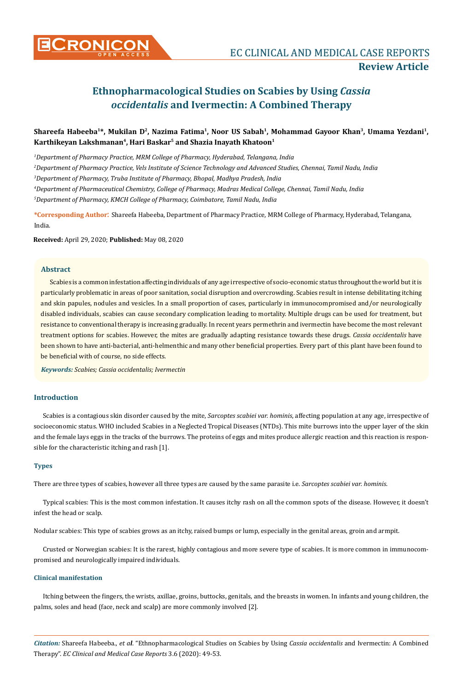# **Ethnopharmacological Studies on Scabies by Using** *Cassia occidentalis* **and Ivermectin: A Combined Therapy**

# Shareefa Habeeba<sup>1\*</sup>, Mukilan D<sup>2</sup>, Nazima Fatima<sup>1</sup>, Noor US Sabah<sup>1</sup>, Mohammad Gayoor Khan<sup>3</sup>, Umama Yezdani<sup>1</sup>, **Karthikeyan Lakshmanan4, Hari Baskar5 and Shazia Inayath Khatoon1**

 *Department of Pharmacy Practice, MRM College of Pharmacy, Hyderabad, Telangana, India Department of Pharmacy Practice, Vels Institute of Science Technology and Advanced Studies, Chennai, Tamil Nadu, India Department of Pharmacy, Truba Institute of Pharmacy, Bhopal, Madhya Pradesh, India Department of Pharmaceutical Chemistry, College of Pharmacy, Madras Medical College, Chennai, Tamil Nadu, India Department of Pharmacy, KMCH College of Pharmacy, Coimbatore, Tamil Nadu, India*

**\*Corresponding Author**: Shareefa Habeeba, Department of Pharmacy Practice, MRM College of Pharmacy, Hyderabad, Telangana, India.

**Received:** April 29, 2020; **Published:** May 08, 2020

# **Abstract**

Scabies is a common infestation affecting individuals of any age irrespective of socio-economic status throughout the world but it is particularly problematic in areas of poor sanitation, social disruption and overcrowding. Scabies result in intense debilitating itching and skin papules, nodules and vesicles. In a small proportion of cases, particularly in immunocompromised and/or neurologically disabled individuals, scabies can cause secondary complication leading to mortality. Multiple drugs can be used for treatment, but resistance to conventional therapy is increasing gradually. In recent years permethrin and ivermectin have become the most relevant treatment options for scabies. However, the mites are gradually adapting resistance towards these drugs. *Cassia occidentalis* have been shown to have anti-bacterial, anti-helmenthic and many other beneficial properties. Every part of this plant have been found to be beneficial with of course, no side effects.

*Keywords: Scabies; Cassia occidentalis; Ivermectin*

# **Introduction**

Scabies is a contagious skin disorder caused by the mite, *Sarcoptes scabiei var. hominis*, affecting population at any age, irrespective of socioeconomic status. WHO included Scabies in a Neglected Tropical Diseases (NTDs). This mite burrows into the upper layer of the skin and the female lays eggs in the tracks of the burrows. The proteins of eggs and mites produce allergic reaction and this reaction is responsible for the characteristic itching and rash [1].

#### **Types**

There are three types of scabies, however all three types are caused by the same parasite i.e. *Sarcoptes scabiei var. hominis*.

Typical scabies: This is the most common infestation. It causes itchy rash on all the common spots of the disease. However, it doesn't infest the head or scalp.

Nodular scabies: This type of scabies grows as an itchy, raised bumps or lump, especially in the genital areas, groin and armpit.

Crusted or Norwegian scabies: It is the rarest, highly contagious and more severe type of scabies. It is more common in immunocompromised and neurologically impaired individuals.

# **Clinical manifestation**

Itching between the fingers, the wrists, axillae, groins, buttocks, genitals, and the breasts in women. In infants and young children, the palms, soles and head (face, neck and scalp) are more commonly involved [2].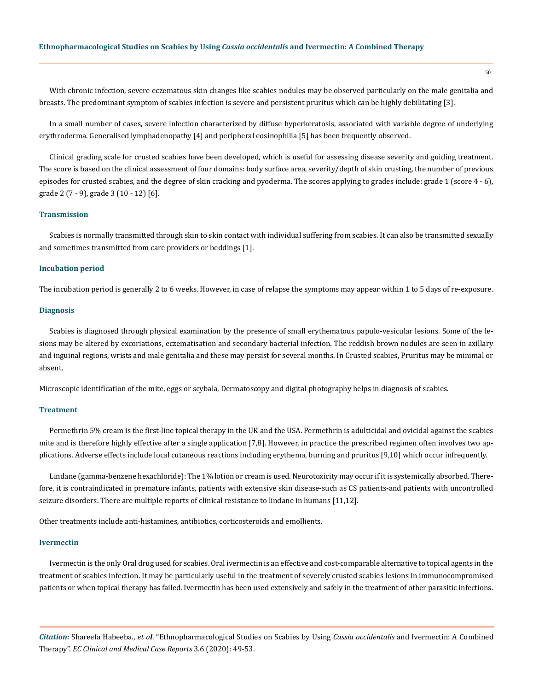With chronic infection, severe eczematous skin changes like scabies nodules may be observed particularly on the male genitalia and breasts. The predominant symptom of scabies infection is severe and persistent pruritus which can be highly debilitating [3].

In a small number of cases, severe infection characterized by diffuse hyperkeratosis, associated with variable degree of underlying erythroderma. Generalised lymphadenopathy [4] and peripheral eosinophilia [5] has been frequently observed.

Clinical grading scale for crusted scabies have been developed, which is useful for assessing disease severity and guiding treatment. The score is based on the clinical assessment of four domains: body surface area, severity/depth of skin crusting, the number of previous episodes for crusted scabies, and the degree of skin cracking and pyoderma. The scores applying to grades include: grade 1 (score 4 - 6), grade 2 (7 - 9), grade 3 (10 - 12) [6].

### **Transmission**

Scabies is normally transmitted through skin to skin contact with individual suffering from scabies. It can also be transmitted sexually and sometimes transmitted from care providers or beddings [1].

### **Incubation period**

The incubation period is generally 2 to 6 weeks. However, in case of relapse the symptoms may appear within 1 to 5 days of re-exposure.

#### **Diagnosis**

Scabies is diagnosed through physical examination by the presence of small erythematous papulo-vesicular lesions. Some of the lesions may be altered by excoriations, eczematisation and secondary bacterial infection. The reddish brown nodules are seen in axillary and inguinal regions, wrists and male genitalia and these may persist for several months. In Crusted scabies, Pruritus may be minimal or absent.

Microscopic identification of the mite, eggs or scybala, Dermatoscopy and digital photography helps in diagnosis of scabies.

#### **Treatment**

Permethrin 5% cream is the first-line topical therapy in the UK and the USA. Permethrin is adulticidal and ovicidal against the scabies mite and is therefore highly effective after a single application [7,8]. However, in practice the prescribed regimen often involves two applications. Adverse effects include local cutaneous reactions including erythema, burning and pruritus [9,10] which occur infrequently.

Lindane (gamma-benzene hexachloride): The 1% lotion or cream is used. Neurotoxicity may occur if it is systemically absorbed. Therefore, it is contraindicated in premature infants, patients with extensive skin disease-such as CS patients-and patients with uncontrolled seizure disorders. There are multiple reports of clinical resistance to lindane in humans [11,12].

Other treatments include anti-histamines, antibiotics, corticosteroids and emollients.

#### **Ivermectin**

Ivermectin is the only Oral drug used for scabies. Oral ivermectin is an effective and cost-comparable alternative to topical agents in the treatment of scabies infection. It may be particularly useful in the treatment of severely crusted scabies lesions in immunocompromised patients or when topical therapy has failed. Ivermectin has been used extensively and safely in the treatment of other parasitic infections.

*Citation:* Shareefa Habeeba., *et al*. "Ethnopharmacological Studies on Scabies by Using *Cassia occidentalis* and Ivermectin: A Combined Therapy". *EC Clinical and Medical Case Reports* 3.6 (2020): 49-53.

50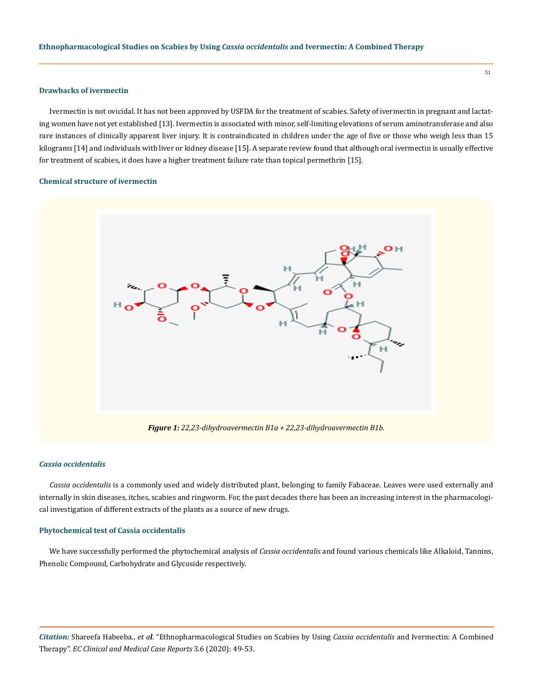#### **Drawbacks of ivermectin**

Ivermectin is not ovicidal. It has not been approved by USFDA for the treatment of scabies. Safety of ivermectin in pregnant and lactating women have not yet established [13]. Ivermectin is associated with minor, self-limiting elevations of serum aminotransferase and also rare instances of clinically apparent liver injury. It is contraindicated in children under the age of five or those who weigh less than 15 kilograms [14] and individuals with liver or kidney disease [15]. A separate review found that although oral ivermectin is usually effective for treatment of scabies, it does have a higher treatment failure rate than topical permethrin [15].

#### **Chemical structure of ivermectin**



#### *Cassia occidentalis*

*Cassia occidentalis* is a commonly used and widely distributed plant, belonging to family Fabaceae. Leaves were used externally and internally in skin diseases, itches, scabies and ringworm. For, the past decades there has been an increasing interest in the pharmacological investigation of different extracts of the plants as a source of new drugs.

#### **Phytochemical test of Cassia occidentalis**

We have successfully performed the phytochemical analysis of *Cassia occidentalis* and found various chemicals like Alkaloid, Tannins, Phenolic Compound, Carbohydrate and Glycoside respectively.

*Citation:* Shareefa Habeeba., *et al*. "Ethnopharmacological Studies on Scabies by Using *Cassia occidentalis* and Ivermectin: A Combined Therapy". *EC Clinical and Medical Case Reports* 3.6 (2020): 49-53.

51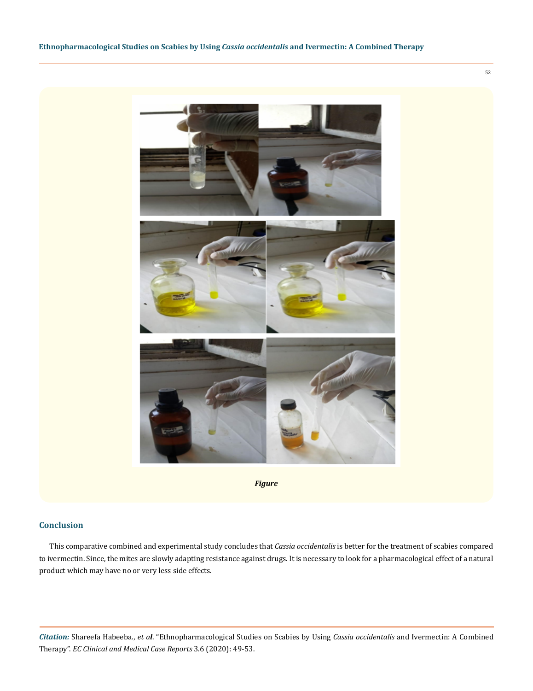

*Figure*

# **Conclusion**

This comparative combined and experimental study concludes that *Cassia occidentalis* is better for the treatment of scabies compared to ivermectin. Since, the mites are slowly adapting resistance against drugs. It is necessary to look for a pharmacological effect of a natural product which may have no or very less side effects.

*Citation:* Shareefa Habeeba., *et al*. "Ethnopharmacological Studies on Scabies by Using *Cassia occidentalis* and Ivermectin: A Combined Therapy". *EC Clinical and Medical Case Reports* 3.6 (2020): 49-53.